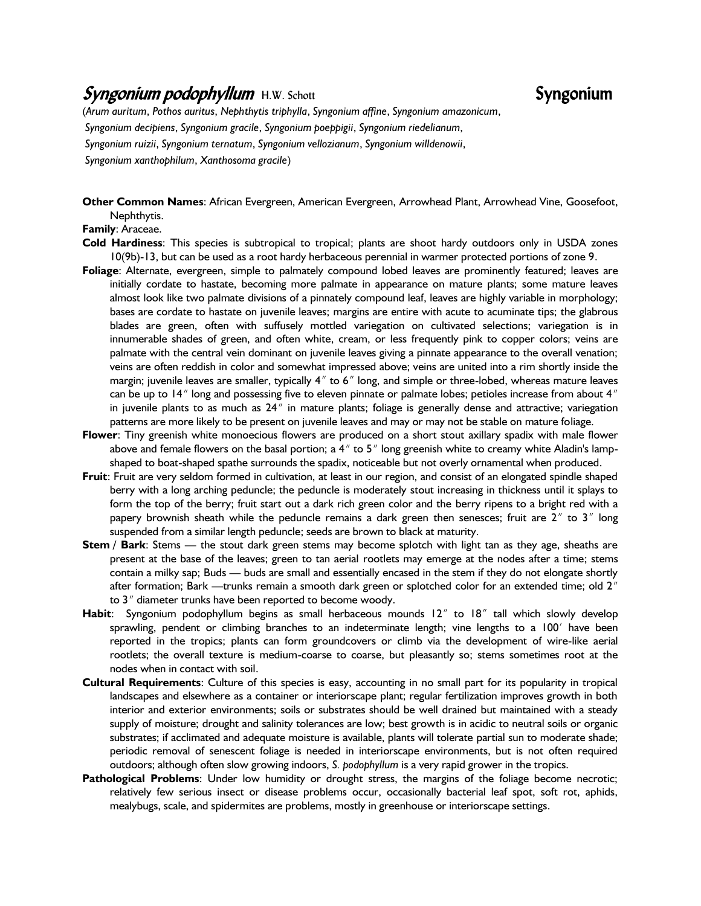## Syngonium podophyllum H.W. Schott Syngonium

(*Arum auritum*, *Pothos auritus*, *Nephthytis triphylla*, *Syngonium affine*, *Syngonium amazonicum*, *Syngonium decipiens*, *Syngonium gracile*, *Syngonium poeppigii*, *Syngonium riedelianum*, *Syngonium ruizii*, *Syngonium ternatum*, *Syngonium vellozianum*, *Syngonium willdenowii*, *Syngonium xanthophilum*, *Xanthosoma gracile*)

**Other Common Names**: African Evergreen, American Evergreen, Arrowhead Plant, Arrowhead Vine, Goosefoot, Nephthytis.

## **Family**: Araceae.

- **Cold Hardiness**: This species is subtropical to tropical; plants are shoot hardy outdoors only in USDA zones 10(9b)-13, but can be used as a root hardy herbaceous perennial in warmer protected portions of zone 9.
- **Foliage**: Alternate, evergreen, simple to palmately compound lobed leaves are prominently featured; leaves are initially cordate to hastate, becoming more palmate in appearance on mature plants; some mature leaves almost look like two palmate divisions of a pinnately compound leaf, leaves are highly variable in morphology; bases are cordate to hastate on juvenile leaves; margins are entire with acute to acuminate tips; the glabrous blades are green, often with suffusely mottled variegation on cultivated selections; variegation is in innumerable shades of green, and often white, cream, or less frequently pink to copper colors; veins are palmate with the central vein dominant on juvenile leaves giving a pinnate appearance to the overall venation; veins are often reddish in color and somewhat impressed above; veins are united into a rim shortly inside the margin; juvenile leaves are smaller, typically 4" to 6" long, and simple or three-lobed, whereas mature leaves can be up to 14" long and possessing five to eleven pinnate or palmate lobes; petioles increase from about 4" in juvenile plants to as much as 24" in mature plants; foliage is generally dense and attractive; variegation patterns are more likely to be present on juvenile leaves and may or may not be stable on mature foliage.
- **Flower**: Tiny greenish white monoecious flowers are produced on a short stout axillary spadix with male flower above and female flowers on the basal portion; a  $4''$  to  $5''$  long greenish white to creamy white Aladin's lampshaped to boat-shaped spathe surrounds the spadix, noticeable but not overly ornamental when produced.
- **Fruit**: Fruit are very seldom formed in cultivation, at least in our region, and consist of an elongated spindle shaped berry with a long arching peduncle; the peduncle is moderately stout increasing in thickness until it splays to form the top of the berry; fruit start out a dark rich green color and the berry ripens to a bright red with a papery brownish sheath while the peduncle remains a dark green then senesces; fruit are  $2<sup>''</sup>$  to  $3<sup>''</sup>$  long suspended from a similar length peduncle; seeds are brown to black at maturity.
- **Stem / Bark**: Stems the stout dark green stems may become splotch with light tan as they age, sheaths are present at the base of the leaves; green to tan aerial rootlets may emerge at the nodes after a time; stems contain a milky sap; Buds — buds are small and essentially encased in the stem if they do not elongate shortly after formation; Bark —trunks remain a smooth dark green or splotched color for an extended time; old  $2<sup>n</sup>$ to 3<sup>"</sup> diameter trunks have been reported to become woody.
- Habit: Syngonium podophyllum begins as small herbaceous mounds 12" to 18" tall which slowly develop sprawling, pendent or climbing branches to an indeterminate length; vine lengths to a 100' have been reported in the tropics; plants can form groundcovers or climb via the development of wire-like aerial rootlets; the overall texture is medium-coarse to coarse, but pleasantly so; stems sometimes root at the nodes when in contact with soil.
- **Cultural Requirements**: Culture of this species is easy, accounting in no small part for its popularity in tropical landscapes and elsewhere as a container or interiorscape plant; regular fertilization improves growth in both interior and exterior environments; soils or substrates should be well drained but maintained with a steady supply of moisture; drought and salinity tolerances are low; best growth is in acidic to neutral soils or organic substrates; if acclimated and adequate moisture is available, plants will tolerate partial sun to moderate shade; periodic removal of senescent foliage is needed in interiorscape environments, but is not often required outdoors; although often slow growing indoors, *S. podophyllum* is a very rapid grower in the tropics.
- **Pathological Problems**: Under low humidity or drought stress, the margins of the foliage become necrotic; relatively few serious insect or disease problems occur, occasionally bacterial leaf spot, soft rot, aphids, mealybugs, scale, and spidermites are problems, mostly in greenhouse or interiorscape settings.